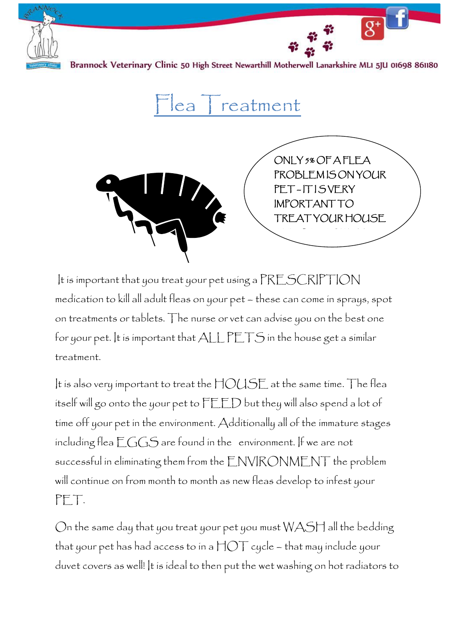

Brannock Veterinary Clinic 50 High Street Newarthill Motherwell Lanarkshire MLI 5JU 01698 861180

 $|ea|$  reatment



It is important that you treat your pet using a PRESCRIPTION medication to kill all adult fleas on your pet – these can come in sprays, spot on treatments or tablets. The nurse or vet can advise you on the best one for your pet. It is important that  $\text{ALL PETS}$  in the house get a similar treatment.

It is also very important to treat the HOUSE at the same time. The flea itself will go onto the your pet to FEED but they will also spend a lot of time off your pet in the environment. Additionally all of the immature stages including flea  $EGGS$  are found in the environment. If we are not successful in eliminating them from the ENVIRONMENT the problem will continue on from month to month as new fleas develop to infest your PET.

On the same day that you treat your pet you must  $W\text{AST}$  all the bedding that your pet has had access to in a  $\text{HOT}$  cycle – that may include your duvet covers as well! It is ideal to then put the wet washing on hot radiators to